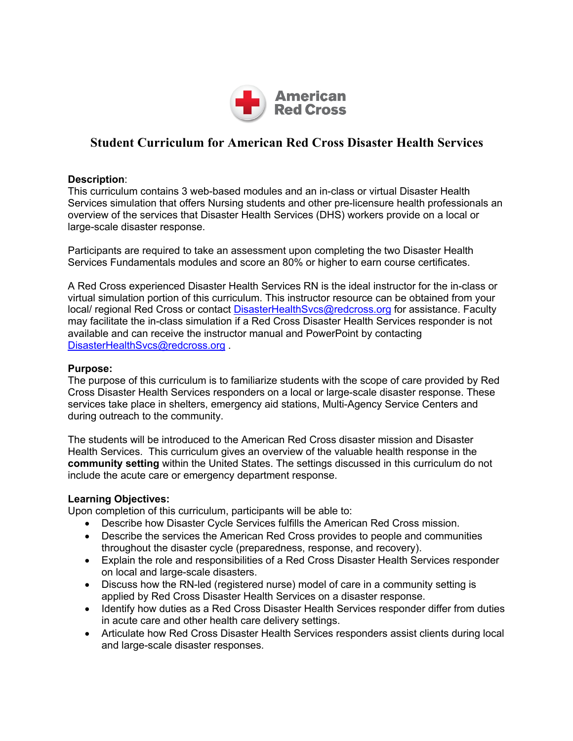

# **Student Curriculum for American Red Cross Disaster Health Services**

## **Description**:

This curriculum contains 3 web-based modules and an in-class or virtual Disaster Health Services simulation that offers Nursing students and other pre-licensure health professionals an overview of the services that Disaster Health Services (DHS) workers provide on a local or large-scale disaster response.

Participants are required to take an assessment upon completing the two Disaster Health Services Fundamentals modules and score an 80% or higher to earn course certificates.

A Red Cross experienced Disaster Health Services RN is the ideal instructor for the in-class or virtual simulation portion of this curriculum. This instructor resource can be obtained from your local/ regional Red Cross or contact DisasterHealthSvcs@redcross.org for assistance. Faculty may facilitate the in-class simulation if a Red Cross Disaster Health Services responder is not available and can receive the instructor manual and PowerPoint by contacting DisasterHealthSvcs@redcross.org.

### **Purpose:**

The purpose of this curriculum is to familiarize students with the scope of care provided by Red Cross Disaster Health Services responders on a local or large-scale disaster response. These services take place in shelters, emergency aid stations, Multi-Agency Service Centers and during outreach to the community.

The students will be introduced to the American Red Cross disaster mission and Disaster Health Services. This curriculum gives an overview of the valuable health response in the **community setting** within the United States. The settings discussed in this curriculum do not include the acute care or emergency department response.

#### **Learning Objectives:**

Upon completion of this curriculum, participants will be able to:

- Describe how Disaster Cycle Services fulfills the American Red Cross mission.
- Describe the services the American Red Cross provides to people and communities throughout the disaster cycle (preparedness, response, and recovery).
- Explain the role and responsibilities of a Red Cross Disaster Health Services responder on local and large-scale disasters.
- Discuss how the RN-led (registered nurse) model of care in a community setting is applied by Red Cross Disaster Health Services on a disaster response.
- Identify how duties as a Red Cross Disaster Health Services responder differ from duties in acute care and other health care delivery settings.
- Articulate how Red Cross Disaster Health Services responders assist clients during local and large-scale disaster responses.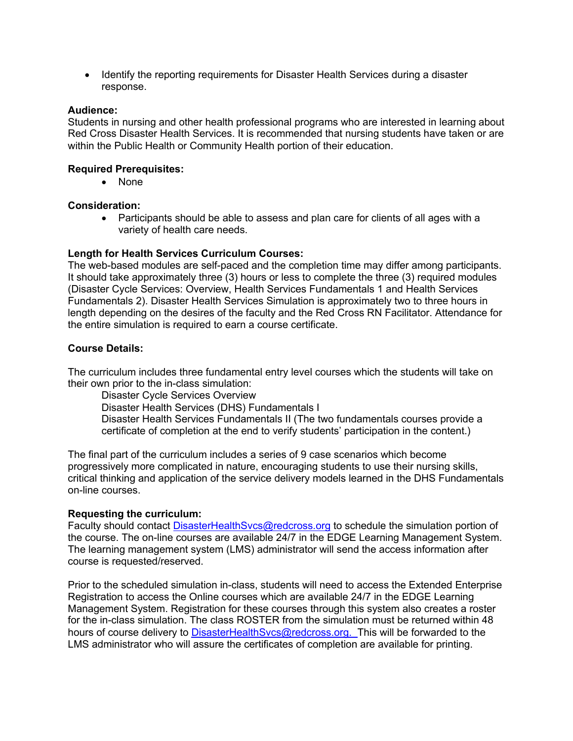• Identify the reporting requirements for Disaster Health Services during a disaster response.

#### **Audience:**

Students in nursing and other health professional programs who are interested in learning about Red Cross Disaster Health Services. It is recommended that nursing students have taken or are within the Public Health or Community Health portion of their education.

#### **Required Prerequisites:**

• None

#### **Consideration:**

• Participants should be able to assess and plan care for clients of all ages with a variety of health care needs.

#### **Length for Health Services Curriculum Courses:**

The web-based modules are self-paced and the completion time may differ among participants. It should take approximately three (3) hours or less to complete the three (3) required modules (Disaster Cycle Services: Overview, Health Services Fundamentals 1 and Health Services Fundamentals 2). Disaster Health Services Simulation is approximately two to three hours in length depending on the desires of the faculty and the Red Cross RN Facilitator. Attendance for the entire simulation is required to earn a course certificate.

#### **Course Details:**

The curriculum includes three fundamental entry level courses which the students will take on their own prior to the in-class simulation:

Disaster Cycle Services Overview Disaster Health Services (DHS) Fundamentals I Disaster Health Services Fundamentals II (The two fundamentals courses provide a certificate of completion at the end to verify students' participation in the content.)

The final part of the curriculum includes a series of 9 case scenarios which become progressively more complicated in nature, encouraging students to use their nursing skills, critical thinking and application of the service delivery models learned in the DHS Fundamentals on-line courses.

#### **Requesting the curriculum:**

Faculty should contact DisasterHealthSvcs@redcross.org to schedule the simulation portion of the course. The on-line courses are available 24/7 in the EDGE Learning Management System. The learning management system (LMS) administrator will send the access information after course is requested/reserved.

Prior to the scheduled simulation in-class, students will need to access the Extended Enterprise Registration to access the Online courses which are available 24/7 in the EDGE Learning Management System. Registration for these courses through this system also creates a roster for the in-class simulation. The class ROSTER from the simulation must be returned within 48 hours of course delivery to DisasterHealthSvcs@redcross.org. This will be forwarded to the LMS administrator who will assure the certificates of completion are available for printing.